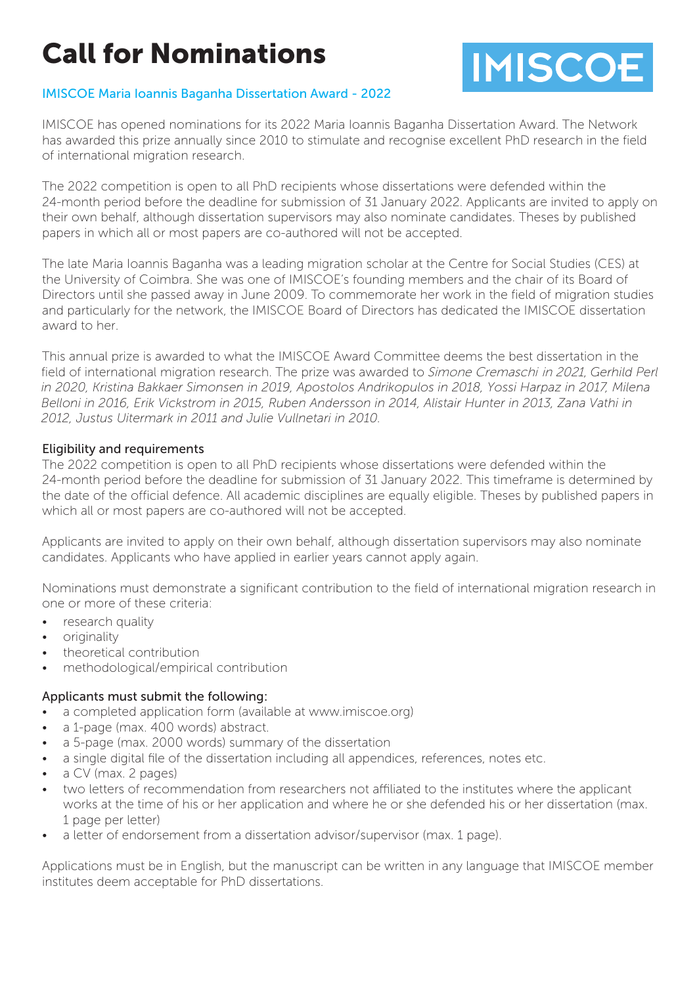# Call for Nominations



# IMISCOE Maria Ioannis Baganha Dissertation Award - 2022

IMISCOE has opened nominations for its 2022 Maria Ioannis Baganha Dissertation Award. The Network has awarded this prize annually since 2010 to stimulate and recognise excellent PhD research in the field of international migration research.

The 2022 competition is open to all PhD recipients whose dissertations were defended within the 24-month period before the deadline for submission of 31 January 2022. Applicants are invited to apply on their own behalf, although dissertation supervisors may also nominate candidates. Theses by published papers in which all or most papers are co-authored will not be accepted.

The late Maria Ioannis Baganha was a leading migration scholar at the Centre for Social Studies (CES) at the University of Coimbra. She was one of IMISCOE's founding members and the chair of its Board of Directors until she passed away in June 2009. To commemorate her work in the field of migration studies and particularly for the network, the IMISCOE Board of Directors has dedicated the IMISCOE dissertation award to her.

This annual prize is awarded to what the IMISCOE Award Committee deems the best dissertation in the field of international migration research. The prize was awarded to Simone Cremaschi in 2021, *Gerhild Perl in 2020, Kristina Bakkaer Simonsen in 2019, Apostolos Andrikopulos in 2018, Yossi Harpaz in 2017, Milena Belloni in 2016, Erik Vickstrom in 2015, Ruben Andersson in 2014, Alistair Hunter in 2013, Zana Vathi in 2012, Justus Uitermark in 2011 and Julie Vullnetari in 2010.* 

#### Eligibility and requirements

The 2022 competition is open to all PhD recipients whose dissertations were defended within the 24-month period before the deadline for submission of 31 January 2022. This timeframe is determined by the date of the official defence. All academic disciplines are equally eligible. Theses by published papers in which all or most papers are co-authored will not be accepted.

Applicants are invited to apply on their own behalf, although dissertation supervisors may also nominate candidates. Applicants who have applied in earlier years cannot apply again.

Nominations must demonstrate a significant contribution to the field of international migration research in one or more of these criteria:

- research quality
- originality
- theoretical contribution
- methodological/empirical contribution

#### Applicants must submit the following:

- a completed application form (available at www.imiscoe.org)
- a 1-page (max. 400 words) abstract.
- a 5-page (max. 2000 words) summary of the dissertation
- a single digital file of the dissertation including all appendices, references, notes etc.
- a CV (max. 2 pages)
- two letters of recommendation from researchers not affiliated to the institutes where the applicant works at the time of his or her application and where he or she defended his or her dissertation (max. 1 page per letter)
- a letter of endorsement from a dissertation advisor/supervisor (max. 1 page).

Applications must be in English, but the manuscript can be written in any language that IMISCOE member institutes deem acceptable for PhD dissertations.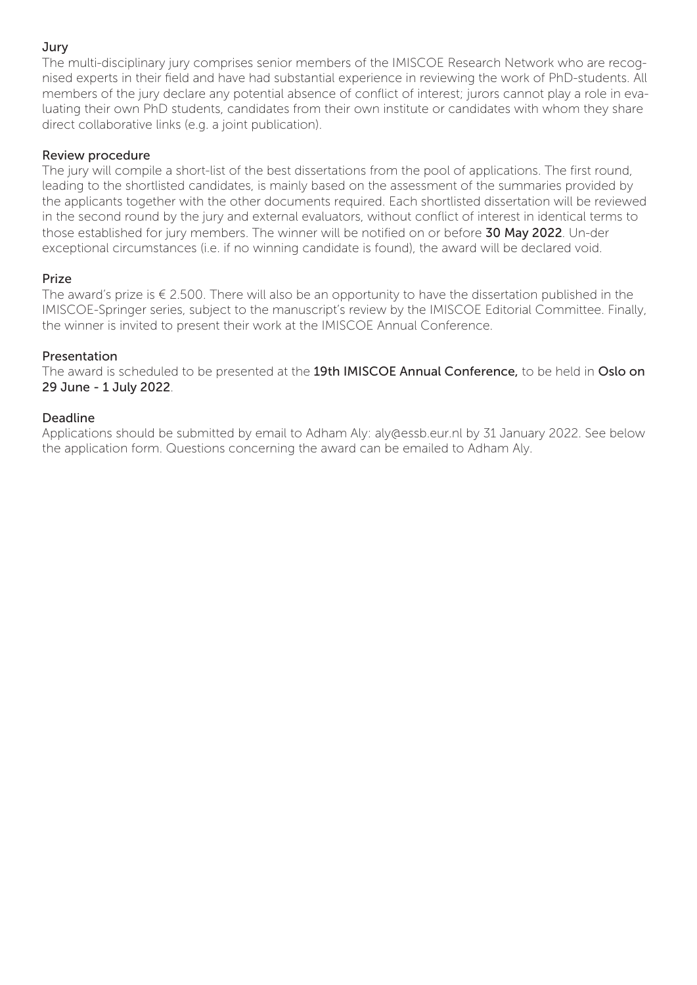# Jury

The multi-disciplinary jury comprises senior members of the IMISCOE Research Network who are recognised experts in their field and have had substantial experience in reviewing the work of PhD-students. All members of the jury declare any potential absence of conflict of interest; jurors cannot play a role in evaluating their own PhD students, candidates from their own institute or candidates with whom they share direct collaborative links (e.g. a joint publication).

# Review procedure

The jury will compile a short-list of the best dissertations from the pool of applications. The first round, leading to the shortlisted candidates, is mainly based on the assessment of the summaries provided by the applicants together with the other documents required. Each shortlisted dissertation will be reviewed in the second round by the jury and external evaluators, without conflict of interest in identical terms to those established for jury members. The winner will be notified on or before 30 May 2022. Un-der exceptional circumstances (i.e. if no winning candidate is found), the award will be declared void.

#### Prize

The award's prize is  $\epsilon$  2.500. There will also be an opportunity to have the dissertation published in the IMISCOE-Springer series, subject to the manuscript's review by the IMISCOE Editorial Committee. Finally, the winner is invited to present their work at the IMISCOE Annual Conference.

#### Presentation

The award is scheduled to be presented at the 19th IMISCOE Annual Conference, to be held in Oslo on 29 June - 1 July 2022.

#### Deadline

Applications should be submitted by email to Adham Aly: aly@essb.eur.nl by 31 January 2022. See below the application form. Questions concerning the award can be emailed to Adham Aly.